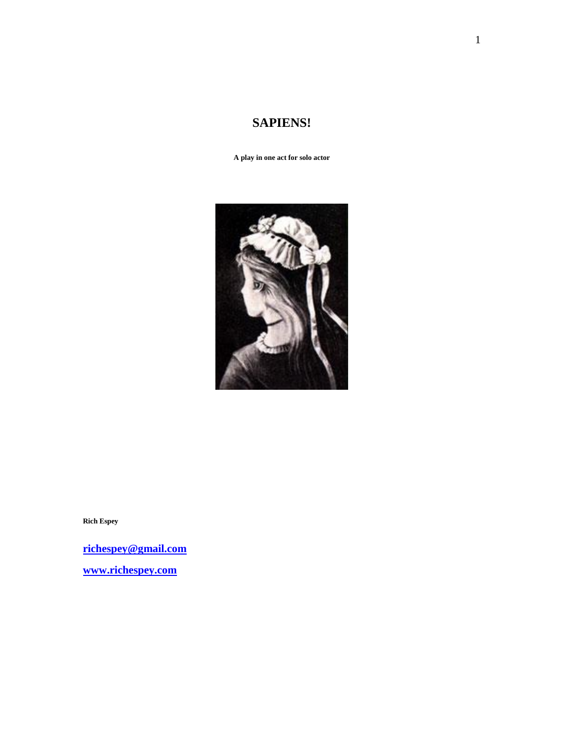# **SAPIENS!**

**A play in one act for solo actor**



**Rich Espey**

**[richespey@gmail.com](mailto:richespey@gmail.com) [www.richespey.com](http://www.richespey.com/)**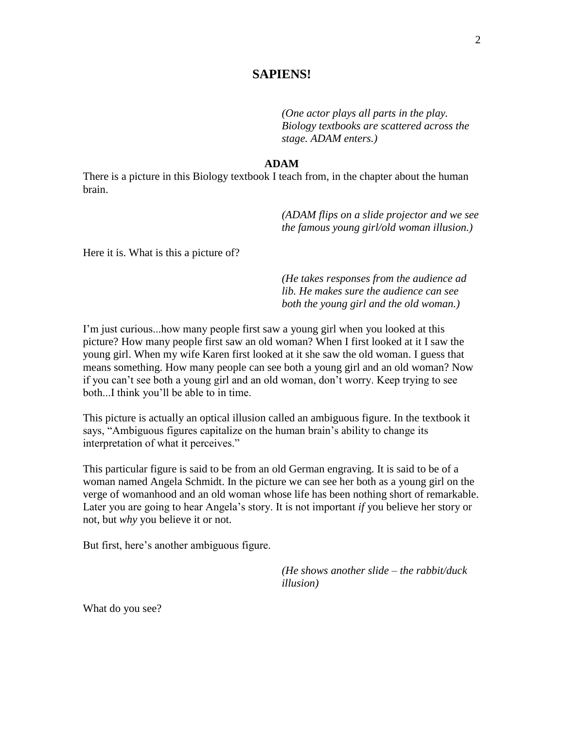# **SAPIENS!**

*(One actor plays all parts in the play. Biology textbooks are scattered across the stage. ADAM enters.)*

# **ADAM**

There is a picture in this Biology textbook I teach from, in the chapter about the human brain.

> *(ADAM flips on a slide projector and we see the famous young girl/old woman illusion.)*

Here it is. What is this a picture of?

*(He takes responses from the audience ad lib. He makes sure the audience can see both the young girl and the old woman.)*

I'm just curious...how many people first saw a young girl when you looked at this picture? How many people first saw an old woman? When I first looked at it I saw the young girl. When my wife Karen first looked at it she saw the old woman. I guess that means something. How many people can see both a young girl and an old woman? Now if you can't see both a young girl and an old woman, don't worry. Keep trying to see both...I think you'll be able to in time.

This picture is actually an optical illusion called an ambiguous figure. In the textbook it says, "Ambiguous figures capitalize on the human brain's ability to change its interpretation of what it perceives."

This particular figure is said to be from an old German engraving. It is said to be of a woman named Angela Schmidt. In the picture we can see her both as a young girl on the verge of womanhood and an old woman whose life has been nothing short of remarkable. Later you are going to hear Angela's story. It is not important *if* you believe her story or not, but *why* you believe it or not.

But first, here's another ambiguous figure.

*(He shows another slide – the rabbit/duck illusion)* 

What do you see?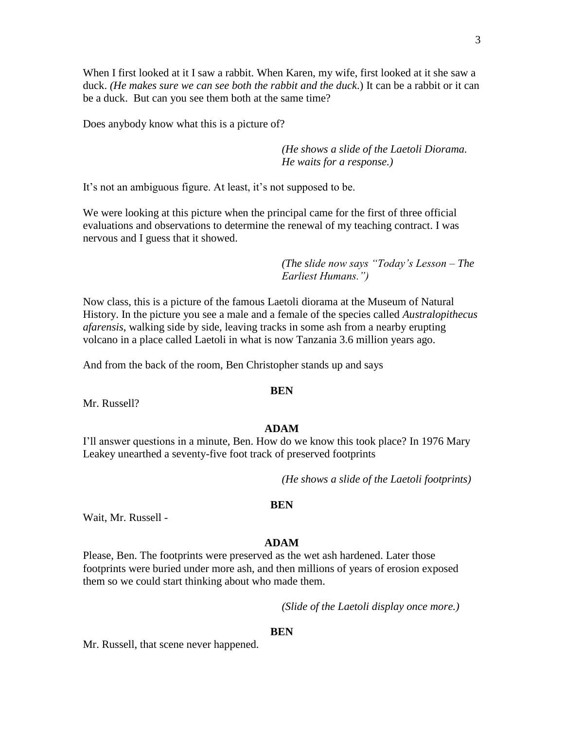When I first looked at it I saw a rabbit. When Karen, my wife, first looked at it she saw a duck. *(He makes sure we can see both the rabbit and the duck*.) It can be a rabbit or it can be a duck. But can you see them both at the same time?

Does anybody know what this is a picture of?

*(He shows a slide of the Laetoli Diorama. He waits for a response.)*

It's not an ambiguous figure. At least, it's not supposed to be.

We were looking at this picture when the principal came for the first of three official evaluations and observations to determine the renewal of my teaching contract. I was nervous and I guess that it showed.

> *(The slide now says "Today's Lesson – The Earliest Humans.")*

Now class, this is a picture of the famous Laetoli diorama at the Museum of Natural History. In the picture you see a male and a female of the species called *Australopithecus afarensis*, walking side by side, leaving tracks in some ash from a nearby erupting volcano in a place called Laetoli in what is now Tanzania 3.6 million years ago.

And from the back of the room, Ben Christopher stands up and says

#### **BEN**

Mr. Russell?

### **ADAM**

I'll answer questions in a minute, Ben. How do we know this took place? In 1976 Mary Leakey unearthed a seventy-five foot track of preserved footprints

*(He shows a slide of the Laetoli footprints)* 

#### **BEN**

Wait, Mr. Russell -

#### **ADAM**

Please, Ben. The footprints were preserved as the wet ash hardened. Later those footprints were buried under more ash, and then millions of years of erosion exposed them so we could start thinking about who made them.

*(Slide of the Laetoli display once more.)*

#### **BEN**

Mr. Russell, that scene never happened.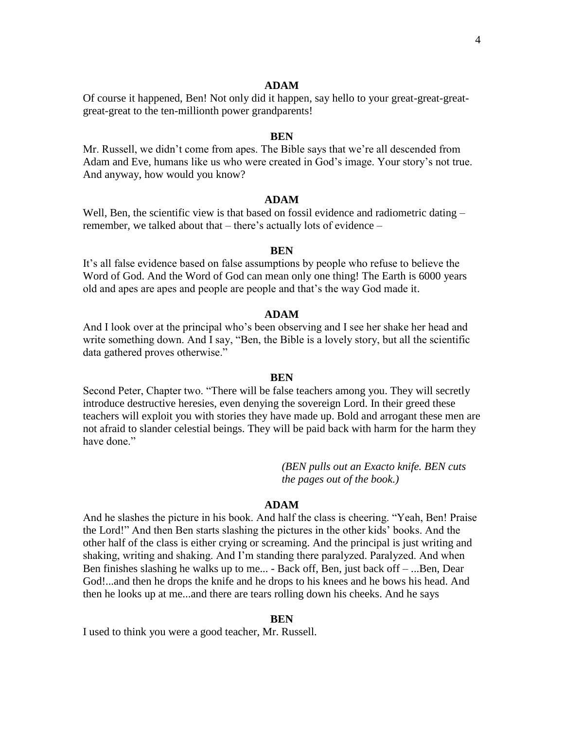### **ADAM**

Of course it happened, Ben! Not only did it happen, say hello to your great-great-greatgreat-great to the ten-millionth power grandparents!

### **BEN**

Mr. Russell, we didn't come from apes. The Bible says that we're all descended from Adam and Eve, humans like us who were created in God's image. Your story's not true. And anyway, how would you know?

### **ADAM**

Well, Ben, the scientific view is that based on fossil evidence and radiometric dating – remember, we talked about that – there's actually lots of evidence –

#### **BEN**

It's all false evidence based on false assumptions by people who refuse to believe the Word of God. And the Word of God can mean only one thing! The Earth is 6000 years old and apes are apes and people are people and that's the way God made it.

#### **ADAM**

And I look over at the principal who's been observing and I see her shake her head and write something down. And I say, "Ben, the Bible is a lovely story, but all the scientific data gathered proves otherwise."

#### **BEN**

Second Peter, Chapter two. "There will be false teachers among you. They will secretly introduce destructive heresies, even denying the sovereign Lord. In their greed these teachers will exploit you with stories they have made up. Bold and arrogant these men are not afraid to slander celestial beings. They will be paid back with harm for the harm they have done."

> *(BEN pulls out an Exacto knife. BEN cuts the pages out of the book.)*

#### **ADAM**

And he slashes the picture in his book. And half the class is cheering. "Yeah, Ben! Praise the Lord!" And then Ben starts slashing the pictures in the other kids' books. And the other half of the class is either crying or screaming. And the principal is just writing and shaking, writing and shaking. And I'm standing there paralyzed. Paralyzed. And when Ben finishes slashing he walks up to me... - Back off, Ben, just back off – ...Ben, Dear God!...and then he drops the knife and he drops to his knees and he bows his head. And then he looks up at me...and there are tears rolling down his cheeks. And he says

#### **BEN**

I used to think you were a good teacher, Mr. Russell.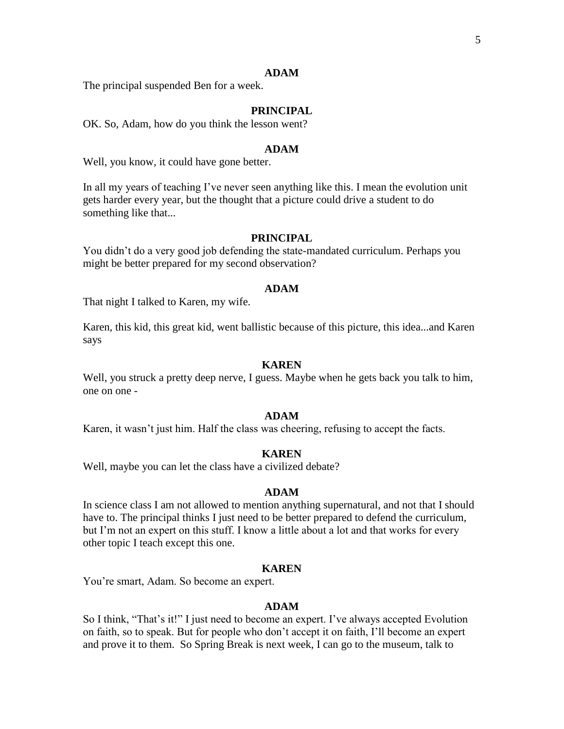#### **ADAM**

The principal suspended Ben for a week.

### **PRINCIPAL**

OK. So, Adam, how do you think the lesson went?

#### **ADAM**

Well, you know, it could have gone better.

In all my years of teaching I've never seen anything like this. I mean the evolution unit gets harder every year, but the thought that a picture could drive a student to do something like that...

# **PRINCIPAL**

You didn't do a very good job defending the state-mandated curriculum. Perhaps you might be better prepared for my second observation?

#### **ADAM**

That night I talked to Karen, my wife.

Karen, this kid, this great kid, went ballistic because of this picture, this idea...and Karen says

### **KAREN**

Well, you struck a pretty deep nerve, I guess. Maybe when he gets back you talk to him, one on one -

#### **ADAM**

Karen, it wasn't just him. Half the class was cheering, refusing to accept the facts.

#### **KAREN**

Well, maybe you can let the class have a civilized debate?

#### **ADAM**

In science class I am not allowed to mention anything supernatural, and not that I should have to. The principal thinks I just need to be better prepared to defend the curriculum, but I'm not an expert on this stuff. I know a little about a lot and that works for every other topic I teach except this one.

#### **KAREN**

You're smart, Adam. So become an expert.

#### **ADAM**

So I think, "That's it!" I just need to become an expert. I've always accepted Evolution on faith, so to speak. But for people who don't accept it on faith, I'll become an expert and prove it to them. So Spring Break is next week, I can go to the museum, talk to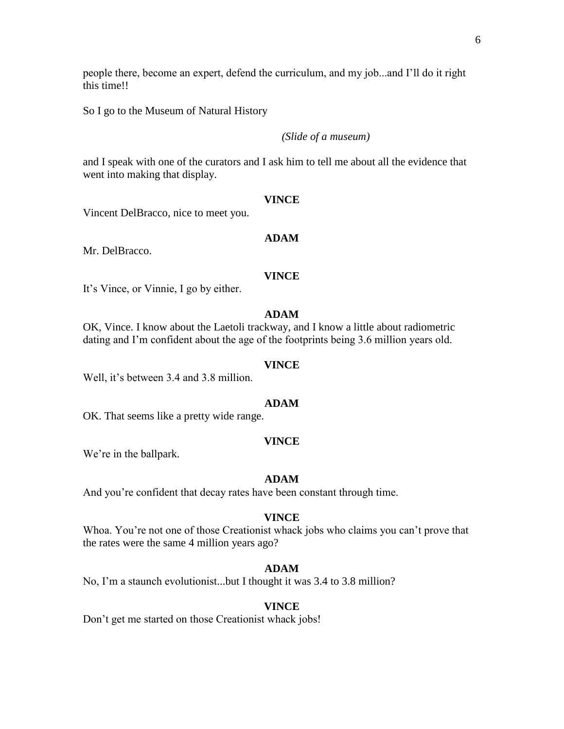people there, become an expert, defend the curriculum, and my job...and I'll do it right this time!!

So I go to the Museum of Natural History

# *(Slide of a museum)*

and I speak with one of the curators and I ask him to tell me about all the evidence that went into making that display.

#### **VINCE**

Vincent DelBracco, nice to meet you.

# **ADAM**

Mr. DelBracco.

### **VINCE**

It's Vince, or Vinnie, I go by either.

## **ADAM**

OK, Vince. I know about the Laetoli trackway, and I know a little about radiometric dating and I'm confident about the age of the footprints being 3.6 million years old.

#### **VINCE**

Well, it's between 3.4 and 3.8 million.

#### **ADAM**

OK. That seems like a pretty wide range.

#### **VINCE**

We're in the ballpark.

#### **ADAM**

And you're confident that decay rates have been constant through time.

#### **VINCE**

Whoa. You're not one of those Creationist whack jobs who claims you can't prove that the rates were the same 4 million years ago?

### **ADAM**

No, I'm a staunch evolutionist...but I thought it was 3.4 to 3.8 million?

#### **VINCE**

Don't get me started on those Creationist whack jobs!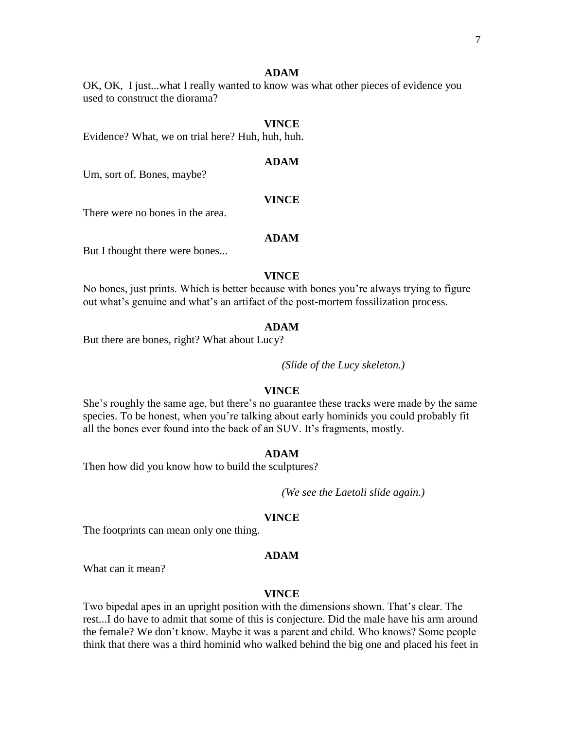#### **ADAM**

OK, OK, I just...what I really wanted to know was what other pieces of evidence you used to construct the diorama?

#### **VINCE**

Evidence? What, we on trial here? Huh, huh, huh.

### **ADAM**

Um, sort of. Bones, maybe?

#### **VINCE**

There were no bones in the area.

### **ADAM**

But I thought there were bones...

#### **VINCE**

No bones, just prints. Which is better because with bones you're always trying to figure out what's genuine and what's an artifact of the post-mortem fossilization process.

#### **ADAM**

But there are bones, right? What about Lucy?

*(Slide of the Lucy skeleton.)*

### **VINCE**

She's roughly the same age, but there's no guarantee these tracks were made by the same species. To be honest, when you're talking about early hominids you could probably fit all the bones ever found into the back of an SUV. It's fragments, mostly.

#### **ADAM**

Then how did you know how to build the sculptures?

*(We see the Laetoli slide again.)*

### **VINCE**

The footprints can mean only one thing.

#### **ADAM**

What can it mean?

### **VINCE**

Two bipedal apes in an upright position with the dimensions shown. That's clear. The rest...I do have to admit that some of this is conjecture. Did the male have his arm around the female? We don't know. Maybe it was a parent and child. Who knows? Some people think that there was a third hominid who walked behind the big one and placed his feet in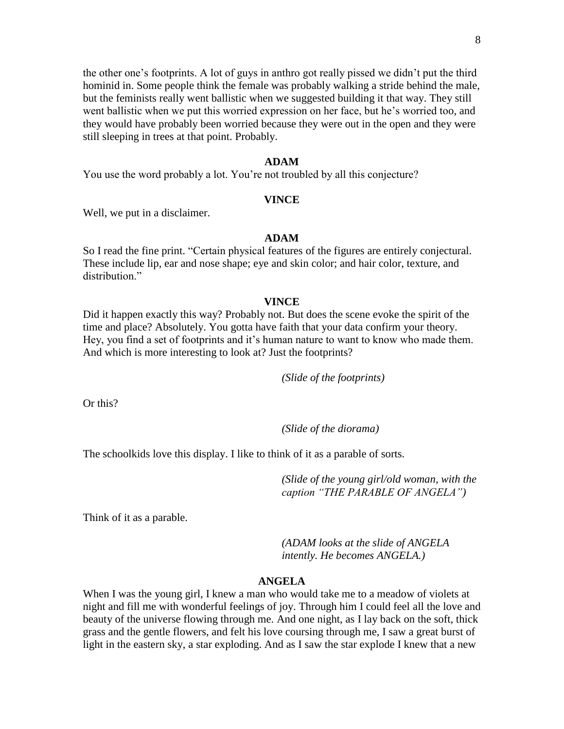the other one's footprints. A lot of guys in anthro got really pissed we didn't put the third hominid in. Some people think the female was probably walking a stride behind the male, but the feminists really went ballistic when we suggested building it that way. They still went ballistic when we put this worried expression on her face, but he's worried too, and they would have probably been worried because they were out in the open and they were still sleeping in trees at that point. Probably.

### **ADAM**

You use the word probably a lot. You're not troubled by all this conjecture?

### **VINCE**

Well, we put in a disclaimer.

### **ADAM**

So I read the fine print. "Certain physical features of the figures are entirely conjectural. These include lip, ear and nose shape; eye and skin color; and hair color, texture, and distribution."

#### **VINCE**

Did it happen exactly this way? Probably not. But does the scene evoke the spirit of the time and place? Absolutely. You gotta have faith that your data confirm your theory. Hey, you find a set of footprints and it's human nature to want to know who made them. And which is more interesting to look at? Just the footprints?

*(Slide of the footprints)*

Or this?

*(Slide of the diorama)*

The schoolkids love this display. I like to think of it as a parable of sorts.

*(Slide of the young girl/old woman, with the caption "THE PARABLE OF ANGELA")*

Think of it as a parable.

*(ADAM looks at the slide of ANGELA intently. He becomes ANGELA.)*

#### **ANGELA**

When I was the young girl, I knew a man who would take me to a meadow of violets at night and fill me with wonderful feelings of joy. Through him I could feel all the love and beauty of the universe flowing through me. And one night, as I lay back on the soft, thick grass and the gentle flowers, and felt his love coursing through me, I saw a great burst of light in the eastern sky, a star exploding. And as I saw the star explode I knew that a new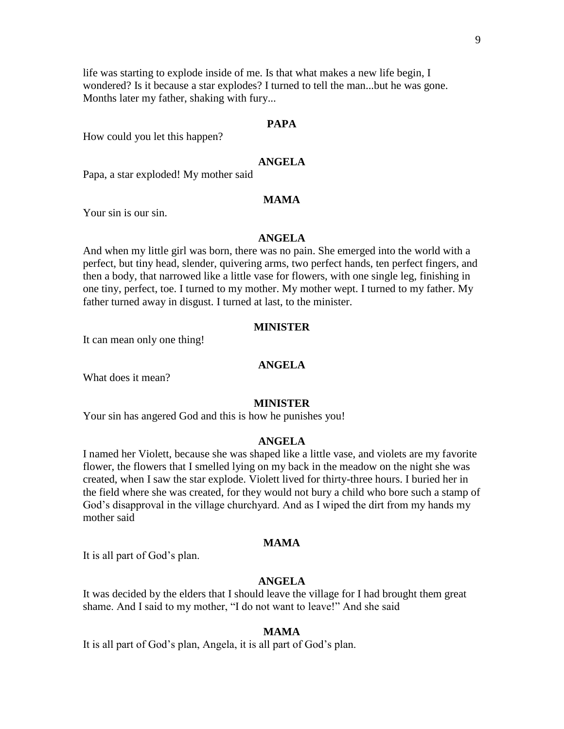life was starting to explode inside of me. Is that what makes a new life begin, I wondered? Is it because a star explodes? I turned to tell the man...but he was gone. Months later my father, shaking with fury...

## **PAPA**

How could you let this happen?

# **ANGELA**

Papa, a star exploded! My mother said

## **MAMA**

Your sin is our sin.

### **ANGELA**

And when my little girl was born, there was no pain. She emerged into the world with a perfect, but tiny head, slender, quivering arms, two perfect hands, ten perfect fingers, and then a body, that narrowed like a little vase for flowers, with one single leg, finishing in one tiny, perfect, toe. I turned to my mother. My mother wept. I turned to my father. My father turned away in disgust. I turned at last, to the minister.

### **MINISTER**

It can mean only one thing!

### **ANGELA**

What does it mean?

#### **MINISTER**

Your sin has angered God and this is how he punishes you!

### **ANGELA**

I named her Violett, because she was shaped like a little vase, and violets are my favorite flower, the flowers that I smelled lying on my back in the meadow on the night she was created, when I saw the star explode. Violett lived for thirty-three hours. I buried her in the field where she was created, for they would not bury a child who bore such a stamp of God's disapproval in the village churchyard. And as I wiped the dirt from my hands my mother said

### **MAMA**

It is all part of God's plan.

#### **ANGELA**

It was decided by the elders that I should leave the village for I had brought them great shame. And I said to my mother, "I do not want to leave!" And she said

### **MAMA**

It is all part of God's plan, Angela, it is all part of God's plan.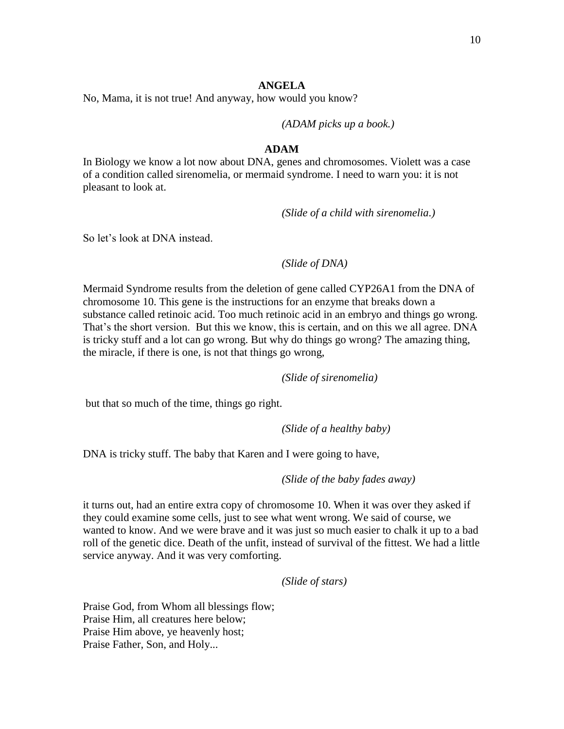# **ANGELA**

No, Mama, it is not true! And anyway, how would you know?

*(ADAM picks up a book.)*

### **ADAM**

In Biology we know a lot now about DNA, genes and chromosomes. Violett was a case of a condition called sirenomelia, or mermaid syndrome. I need to warn you: it is not pleasant to look at.

*(Slide of a child with sirenomelia.)*

So let's look at DNA instead.

*(Slide of DNA)* 

Mermaid Syndrome results from the deletion of gene called CYP26A1 from the DNA of chromosome 10. This gene is the instructions for an enzyme that breaks down a substance called retinoic acid. Too much retinoic acid in an embryo and things go wrong. That's the short version. But this we know, this is certain, and on this we all agree. DNA is tricky stuff and a lot can go wrong. But why do things go wrong? The amazing thing, the miracle, if there is one, is not that things go wrong,

*(Slide of sirenomelia)*

but that so much of the time, things go right.

*(Slide of a healthy baby)*

DNA is tricky stuff. The baby that Karen and I were going to have,

*(Slide of the baby fades away)* 

it turns out, had an entire extra copy of chromosome 10. When it was over they asked if they could examine some cells, just to see what went wrong. We said of course, we wanted to know. And we were brave and it was just so much easier to chalk it up to a bad roll of the genetic dice. Death of the unfit, instead of survival of the fittest. We had a little service anyway. And it was very comforting.

*(Slide of stars)*

Praise God, from Whom all blessings flow; Praise Him, all creatures here below; Praise Him above, ye heavenly host; Praise Father, Son, and Holy...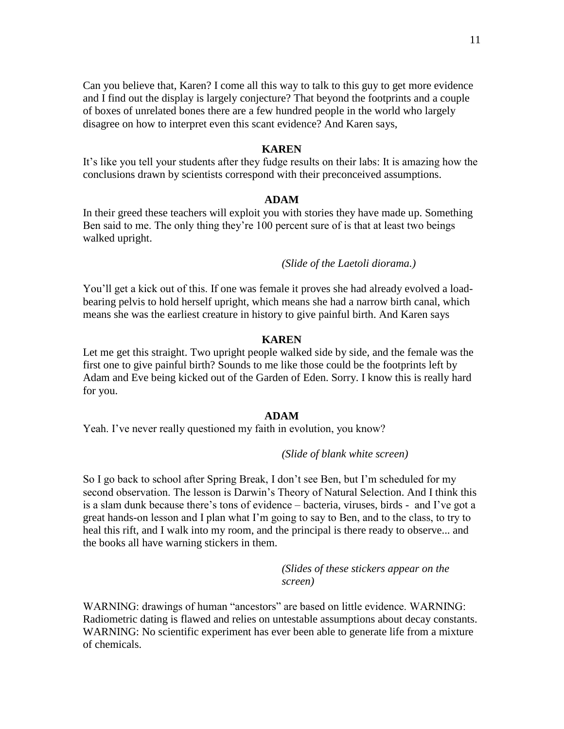Can you believe that, Karen? I come all this way to talk to this guy to get more evidence and I find out the display is largely conjecture? That beyond the footprints and a couple of boxes of unrelated bones there are a few hundred people in the world who largely disagree on how to interpret even this scant evidence? And Karen says,

#### **KAREN**

It's like you tell your students after they fudge results on their labs: It is amazing how the conclusions drawn by scientists correspond with their preconceived assumptions.

### **ADAM**

In their greed these teachers will exploit you with stories they have made up. Something Ben said to me. The only thing they're 100 percent sure of is that at least two beings walked upright.

*(Slide of the Laetoli diorama.)*

You'll get a kick out of this. If one was female it proves she had already evolved a loadbearing pelvis to hold herself upright, which means she had a narrow birth canal, which means she was the earliest creature in history to give painful birth. And Karen says

### **KAREN**

Let me get this straight. Two upright people walked side by side, and the female was the first one to give painful birth? Sounds to me like those could be the footprints left by Adam and Eve being kicked out of the Garden of Eden. Sorry. I know this is really hard for you.

### **ADAM**

Yeah. I've never really questioned my faith in evolution, you know?

#### *(Slide of blank white screen)*

So I go back to school after Spring Break, I don't see Ben, but I'm scheduled for my second observation. The lesson is Darwin's Theory of Natural Selection. And I think this is a slam dunk because there's tons of evidence – bacteria, viruses, birds - and I've got a great hands-on lesson and I plan what I'm going to say to Ben, and to the class, to try to heal this rift, and I walk into my room, and the principal is there ready to observe... and the books all have warning stickers in them.

> *(Slides of these stickers appear on the screen)*

WARNING: drawings of human "ancestors" are based on little evidence. WARNING: Radiometric dating is flawed and relies on untestable assumptions about decay constants. WARNING: No scientific experiment has ever been able to generate life from a mixture of chemicals.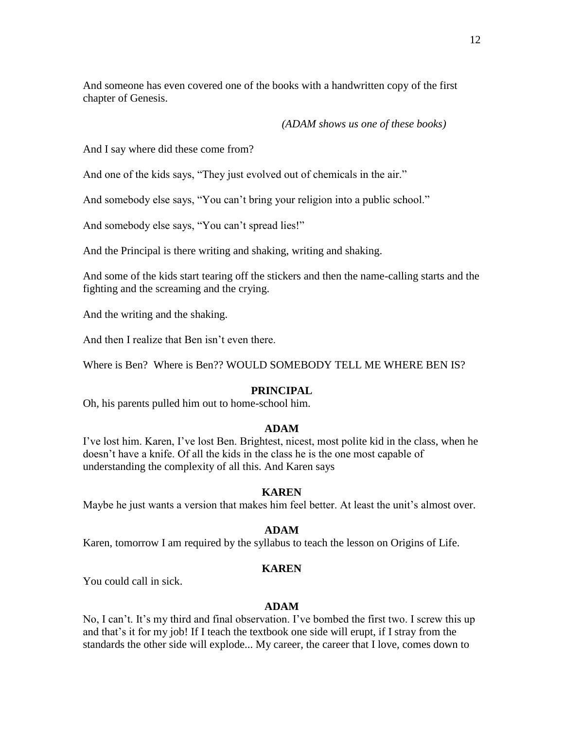And someone has even covered one of the books with a handwritten copy of the first chapter of Genesis.

# *(ADAM shows us one of these books)*

And I say where did these come from?

And one of the kids says, "They just evolved out of chemicals in the air."

And somebody else says, "You can't bring your religion into a public school."

And somebody else says, "You can't spread lies!"

And the Principal is there writing and shaking, writing and shaking.

And some of the kids start tearing off the stickers and then the name-calling starts and the fighting and the screaming and the crying.

And the writing and the shaking.

And then I realize that Ben isn't even there.

Where is Ben? Where is Ben?? WOULD SOMEBODY TELL ME WHERE BEN IS?

## **PRINCIPAL**

Oh, his parents pulled him out to home-school him.

## **ADAM**

I've lost him. Karen, I've lost Ben. Brightest, nicest, most polite kid in the class, when he doesn't have a knife. Of all the kids in the class he is the one most capable of understanding the complexity of all this. And Karen says

## **KAREN**

Maybe he just wants a version that makes him feel better. At least the unit's almost over.

## **ADAM**

Karen, tomorrow I am required by the syllabus to teach the lesson on Origins of Life.

## **KAREN**

You could call in sick.

## **ADAM**

No, I can't. It's my third and final observation. I've bombed the first two. I screw this up and that's it for my job! If I teach the textbook one side will erupt, if I stray from the standards the other side will explode... My career, the career that I love, comes down to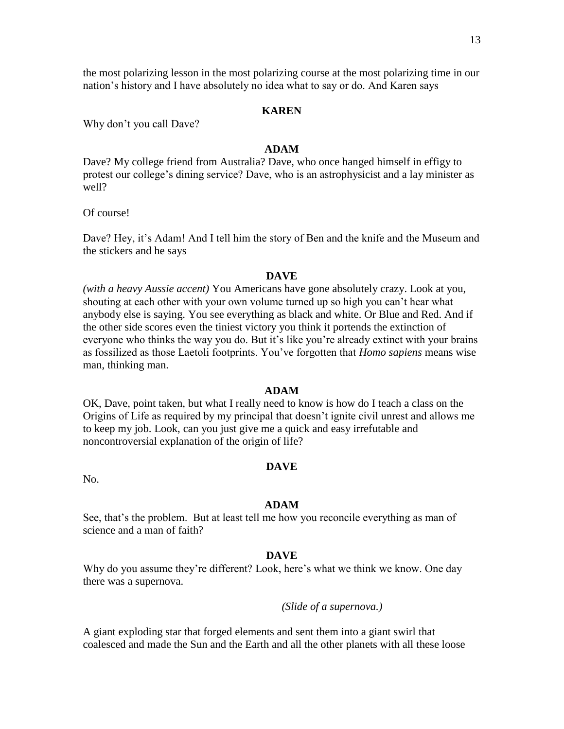### **KAREN**

nation's history and I have absolutely no idea what to say or do. And Karen says

Why don't you call Dave?

# **ADAM**

Dave? My college friend from Australia? Dave, who once hanged himself in effigy to protest our college's dining service? Dave, who is an astrophysicist and a lay minister as well?

Of course!

Dave? Hey, it's Adam! And I tell him the story of Ben and the knife and the Museum and the stickers and he says

### **DAVE**

*(with a heavy Aussie accent)* You Americans have gone absolutely crazy. Look at you, shouting at each other with your own volume turned up so high you can't hear what anybody else is saying. You see everything as black and white. Or Blue and Red. And if the other side scores even the tiniest victory you think it portends the extinction of everyone who thinks the way you do. But it's like you're already extinct with your brains as fossilized as those Laetoli footprints. You've forgotten that *Homo sapiens* means wise man, thinking man.

#### **ADAM**

OK, Dave, point taken, but what I really need to know is how do I teach a class on the Origins of Life as required by my principal that doesn't ignite civil unrest and allows me to keep my job. Look, can you just give me a quick and easy irrefutable and noncontroversial explanation of the origin of life?

No.

#### **ADAM**

**DAVE**

See, that's the problem. But at least tell me how you reconcile everything as man of science and a man of faith?

#### **DAVE**

Why do you assume they're different? Look, here's what we think we know. One day there was a supernova.

*(Slide of a supernova.)* 

A giant exploding star that forged elements and sent them into a giant swirl that coalesced and made the Sun and the Earth and all the other planets with all these loose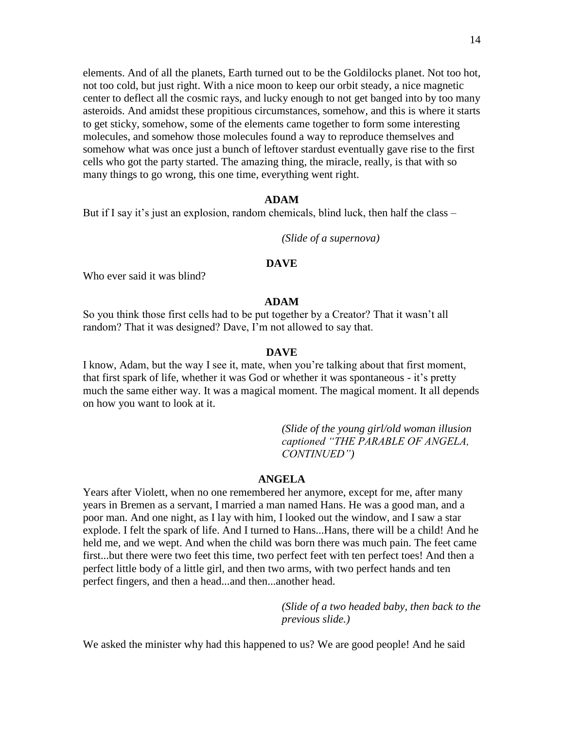elements. And of all the planets, Earth turned out to be the Goldilocks planet. Not too hot, not too cold, but just right. With a nice moon to keep our orbit steady, a nice magnetic center to deflect all the cosmic rays, and lucky enough to not get banged into by too many asteroids. And amidst these propitious circumstances, somehow, and this is where it starts to get sticky, somehow, some of the elements came together to form some interesting molecules, and somehow those molecules found a way to reproduce themselves and somehow what was once just a bunch of leftover stardust eventually gave rise to the first cells who got the party started. The amazing thing, the miracle, really, is that with so many things to go wrong, this one time, everything went right.

#### **ADAM**

But if I say it's just an explosion, random chemicals, blind luck, then half the class –

*(Slide of a supernova)*

### **DAVE**

Who ever said it was blind?

#### **ADAM**

So you think those first cells had to be put together by a Creator? That it wasn't all random? That it was designed? Dave, I'm not allowed to say that.

#### **DAVE**

I know, Adam, but the way I see it, mate, when you're talking about that first moment, that first spark of life, whether it was God or whether it was spontaneous - it's pretty much the same either way. It was a magical moment. The magical moment. It all depends on how you want to look at it.

> *(Slide of the young girl/old woman illusion captioned "THE PARABLE OF ANGELA, CONTINUED")*

#### **ANGELA**

Years after Violett, when no one remembered her anymore, except for me, after many years in Bremen as a servant, I married a man named Hans. He was a good man, and a poor man. And one night, as I lay with him, I looked out the window, and I saw a star explode. I felt the spark of life. And I turned to Hans...Hans, there will be a child! And he held me, and we wept. And when the child was born there was much pain. The feet came first...but there were two feet this time, two perfect feet with ten perfect toes! And then a perfect little body of a little girl, and then two arms, with two perfect hands and ten perfect fingers, and then a head...and then...another head.

> *(Slide of a two headed baby, then back to the previous slide.)*

We asked the minister why had this happened to us? We are good people! And he said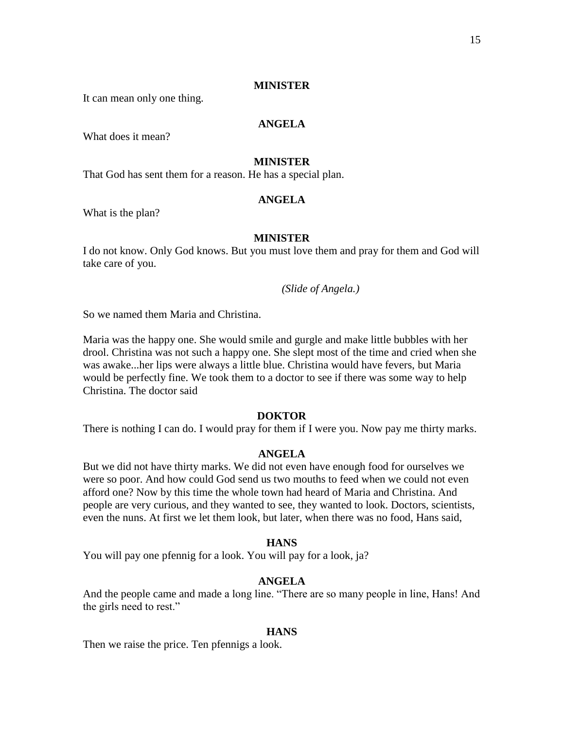### **MINISTER**

It can mean only one thing.

# **ANGELA**

What does it mean?

# **MINISTER**

That God has sent them for a reason. He has a special plan.

## **ANGELA**

What is the plan?

# **MINISTER**

I do not know. Only God knows. But you must love them and pray for them and God will take care of you.

*(Slide of Angela.)*

So we named them Maria and Christina.

Maria was the happy one. She would smile and gurgle and make little bubbles with her drool. Christina was not such a happy one. She slept most of the time and cried when she was awake...her lips were always a little blue. Christina would have fevers, but Maria would be perfectly fine. We took them to a doctor to see if there was some way to help Christina. The doctor said

### **DOKTOR**

There is nothing I can do. I would pray for them if I were you. Now pay me thirty marks.

#### **ANGELA**

But we did not have thirty marks. We did not even have enough food for ourselves we were so poor. And how could God send us two mouths to feed when we could not even afford one? Now by this time the whole town had heard of Maria and Christina. And people are very curious, and they wanted to see, they wanted to look. Doctors, scientists, even the nuns. At first we let them look, but later, when there was no food, Hans said,

## **HANS**

You will pay one pfennig for a look. You will pay for a look, ja?

# **ANGELA**

And the people came and made a long line. "There are so many people in line, Hans! And the girls need to rest."

#### **HANS**

Then we raise the price. Ten pfennigs a look.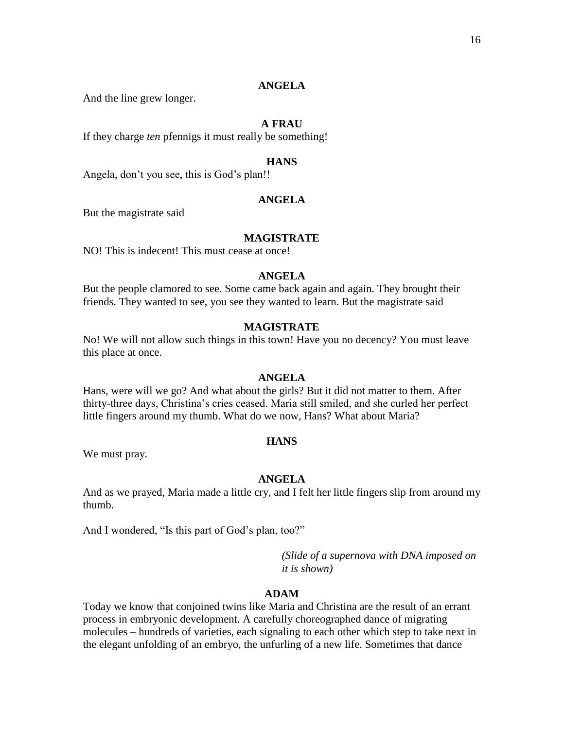### **ANGELA**

And the line grew longer.

### **A FRAU**

If they charge *ten* pfennigs it must really be something!

## **HANS**

Angela, don't you see, this is God's plan!!

## **ANGELA**

But the magistrate said

### **MAGISTRATE**

NO! This is indecent! This must cease at once!

# **ANGELA**

But the people clamored to see. Some came back again and again. They brought their friends. They wanted to see, you see they wanted to learn. But the magistrate said

### **MAGISTRATE**

No! We will not allow such things in this town! Have you no decency? You must leave this place at once.

### **ANGELA**

Hans, were will we go? And what about the girls? But it did not matter to them. After thirty-three days, Christina's cries ceased. Maria still smiled, and she curled her perfect little fingers around my thumb. What do we now, Hans? What about Maria?

#### **HANS**

We must pray.

### **ANGELA**

And as we prayed, Maria made a little cry, and I felt her little fingers slip from around my thumb.

And I wondered, "Is this part of God's plan, too?"

*(Slide of a supernova with DNA imposed on it is shown)*

# **ADAM**

Today we know that conjoined twins like Maria and Christina are the result of an errant process in embryonic development. A carefully choreographed dance of migrating molecules – hundreds of varieties, each signaling to each other which step to take next in the elegant unfolding of an embryo, the unfurling of a new life. Sometimes that dance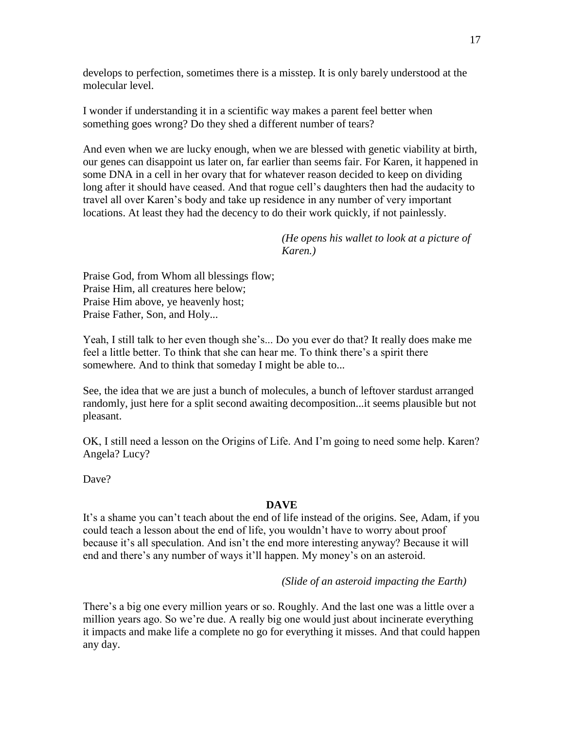develops to perfection, sometimes there is a misstep. It is only barely understood at the molecular level.

I wonder if understanding it in a scientific way makes a parent feel better when something goes wrong? Do they shed a different number of tears?

And even when we are lucky enough, when we are blessed with genetic viability at birth, our genes can disappoint us later on, far earlier than seems fair. For Karen, it happened in some DNA in a cell in her ovary that for whatever reason decided to keep on dividing long after it should have ceased. And that rogue cell's daughters then had the audacity to travel all over Karen's body and take up residence in any number of very important locations. At least they had the decency to do their work quickly, if not painlessly.

> *(He opens his wallet to look at a picture of Karen.)*

Praise God, from Whom all blessings flow; Praise Him, all creatures here below; Praise Him above, ye heavenly host; Praise Father, Son, and Holy...

Yeah, I still talk to her even though she's... Do you ever do that? It really does make me feel a little better. To think that she can hear me. To think there's a spirit there somewhere. And to think that someday I might be able to...

See, the idea that we are just a bunch of molecules, a bunch of leftover stardust arranged randomly, just here for a split second awaiting decomposition...it seems plausible but not pleasant.

OK, I still need a lesson on the Origins of Life. And I'm going to need some help. Karen? Angela? Lucy?

Dave?

# **DAVE**

It's a shame you can't teach about the end of life instead of the origins. See, Adam, if you could teach a lesson about the end of life, you wouldn't have to worry about proof because it's all speculation. And isn't the end more interesting anyway? Because it will end and there's any number of ways it'll happen. My money's on an asteroid.

*(Slide of an asteroid impacting the Earth)*

There's a big one every million years or so. Roughly. And the last one was a little over a million years ago. So we're due. A really big one would just about incinerate everything it impacts and make life a complete no go for everything it misses. And that could happen any day.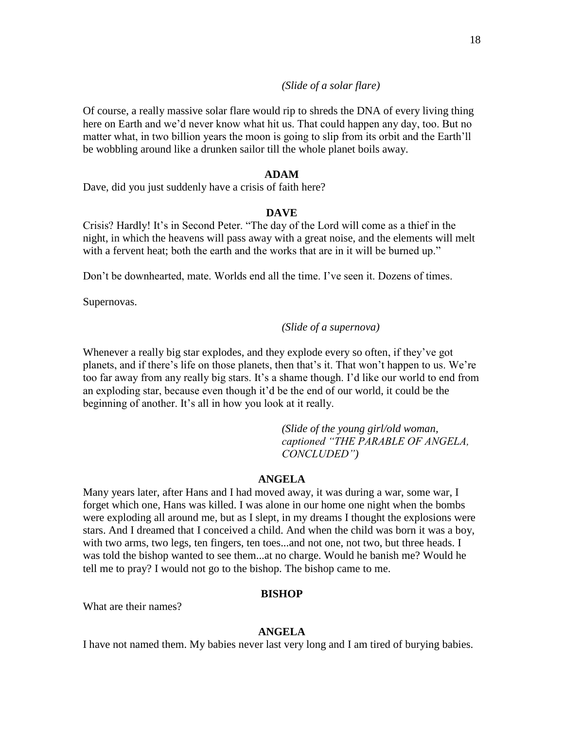# *(Slide of a solar flare)*

Of course, a really massive solar flare would rip to shreds the DNA of every living thing here on Earth and we'd never know what hit us. That could happen any day, too. But no matter what, in two billion years the moon is going to slip from its orbit and the Earth'll be wobbling around like a drunken sailor till the whole planet boils away.

### **ADAM**

Dave, did you just suddenly have a crisis of faith here?

# **DAVE**

Crisis? Hardly! It's in Second Peter. "The day of the Lord will come as a thief in the night, in which the heavens will pass away with a great noise, and the elements will melt with a fervent heat; both the earth and the works that are in it will be burned up."

Don't be downhearted, mate. Worlds end all the time. I've seen it. Dozens of times.

Supernovas.

# *(Slide of a supernova)*

Whenever a really big star explodes, and they explode every so often, if they've got planets, and if there's life on those planets, then that's it. That won't happen to us. We're too far away from any really big stars. It's a shame though. I'd like our world to end from an exploding star, because even though it'd be the end of our world, it could be the beginning of another. It's all in how you look at it really.

> *(Slide of the young girl/old woman, captioned "THE PARABLE OF ANGELA, CONCLUDED")*

### **ANGELA**

Many years later, after Hans and I had moved away, it was during a war, some war, I forget which one, Hans was killed. I was alone in our home one night when the bombs were exploding all around me, but as I slept, in my dreams I thought the explosions were stars. And I dreamed that I conceived a child. And when the child was born it was a boy, with two arms, two legs, ten fingers, ten toes...and not one, not two, but three heads. I was told the bishop wanted to see them...at no charge. Would he banish me? Would he tell me to pray? I would not go to the bishop. The bishop came to me.

### **BISHOP**

What are their names?

## **ANGELA**

I have not named them. My babies never last very long and I am tired of burying babies.